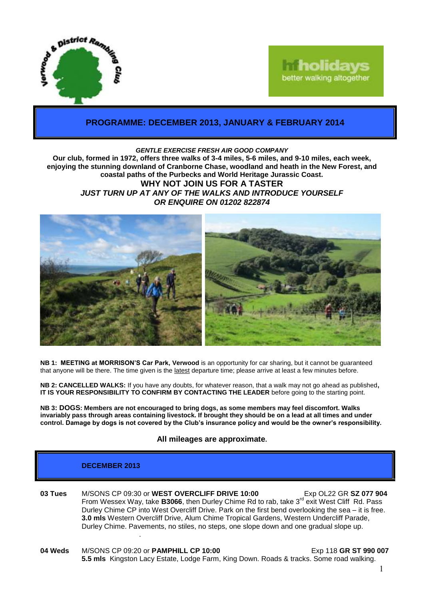



# **PROGRAMME: DECEMBER 2013, JANUARY & FEBRUARY 2014**

#### *GENTLE EXERCISE FRESH AIR GOOD COMPANY*

**Our club, formed in 1972, offers three walks of 3-4 miles, 5-6 miles, and 9-10 miles, each week, enjoying the stunning downland of Cranborne Chase, woodland and heath in the New Forest, and coastal paths of the Purbecks and World Heritage Jurassic Coast. WHY NOT JOIN US FOR A TASTER** *JUST TURN UP AT ANY OF THE WALKS AND INTRODUCE YOURSELF OR ENQUIRE ON 01202 822874*



**NB 1: MEETING at MORRISON'S Car Park, Verwood** is an opportunity for car sharing, but it cannot be guaranteed that anyone will be there. The time given is the latest departure time; please arrive at least a few minutes before.

**NB 2: CANCELLED WALKS:** If you have any doubts, for whatever reason, that a walk may not go ahead as published**, IT IS YOUR RESPONSIBILITY TO CONFIRM BY CONTACTING THE LEADER** before going to the starting point.

**NB 3: DOGS: Members are not encouraged to bring dogs, as some members may feel discomfort. Walks invariably pass through areas containing livestock. If brought they should be on a lead at all times and under control. Damage by dogs is not covered by the Club's insurance policy and would be the owner's responsibility.**

### **All mileages are approximate.**

### **DECEMBER 2013**

- **03 Tues** M/SONS CP 09:30 or **WEST OVERCLIFF DRIVE 10:00** Exp OL22 GR **SZ 077 904** From Wessex Way, take **B3066**, then Durley Chime Rd to rab, take 3<sup>rd</sup> exit West Cliff Rd. Pass Durley Chime CP into West Overcliff Drive. Park on the first bend overlooking the sea – it is free. **3.0 mls** Western Overcliff Drive, Alum Chime Tropical Gardens, Western Undercliff Parade, Durley Chime. Pavements, no stiles, no steps, one slope down and one gradual slope up. .
- **04 Weds** M/SONS CP 09:20 or **PAMPHILL CP 10:00** Exp 118 **GR ST 990 007 5.5 mls** Kingston Lacy Estate, Lodge Farm, King Down. Roads & tracks. Some road walking.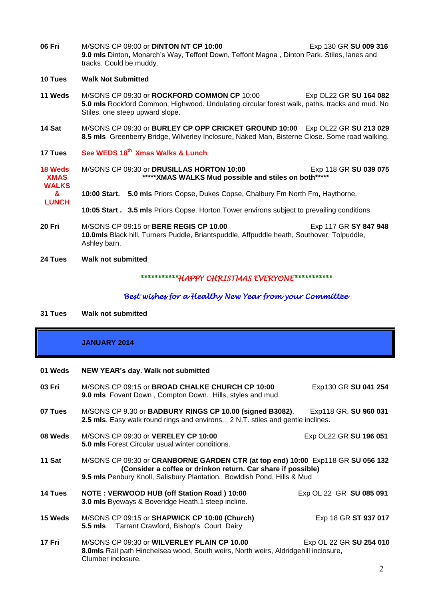- **06 Fri** M/SONS CP 09:00 or **DINTON NT CP 10:00** Exp 130 GR **SU 009 316 9.0 mls** Dinton**,** Monarch's Way, Teffont Down, Teffont Magna , Dinton Park. Stiles, lanes and tracks. Could be muddy.
- **10 Tues Walk Not Submitted**
- **11 Weds** M/SONS CP 09:30 or **ROCKFORD COMMON CP** 10:00 Exp OL22 GR **SU 164 082 5.0 mls** Rockford Common, Highwood. Undulating circular forest walk, paths, tracks and mud. No Stiles, one steep upward slope.
- **14 Sat** M/SONS CP 09:30 or **BURLEY CP OPP CRICKET GROUND 10:00** Exp OL22 GR **SU 213 029 8.5 mls** Greenberry Bridge, Wilverley Inclosure, Naked Man, Bisterne Close. Some road walking.
- **17 Tues See WEDS 18th Xmas Walks & Lunch**
- **18 Weds XMAS WALKS** M/SONS CP 09:30 or **DRUSILLAS HORTON 10:00** Exp 118 GR **SU 039 075 \*\*\*\*\*XMAS WALKS Mud possible and stiles on both\*\*\*\*\***
	- **& 10:00 Start. 5.0 mls** Priors Copse, Dukes Copse, Chalbury Fm North Fm, Haythorne.
		- **10:05 Start . 3.5 mls** Priors Copse. Horton Tower environs subject to prevailing conditions.
- **20 Fri** M/SONS CP 09:15 or **BERE REGIS CP 10.00** Exp 117 GR **SY 847 948 10.0mls** Black hill, Turners Puddle, Briantspuddle, Affpuddle heath, Southover, Tolpuddle, Ashley barn.
- **24 Tues Walk not submitted**

**LUNCH**

# *\*\*\*\*\*\*\*\*\*\*\*HAPPY CHRISTMAS EVERYONE\*\*\*\*\*\*\*\*\*\*\**

### *Best wishes for a Healthy New Year from your Committee*

**31 Tues Walk not submitted**

## **JANUARY 2014**

#### **01 Weds NEW YEAR's day. Walk not submitted**

**03 Fri** M/SONS CP 09:15 or **BROAD CHALKE CHURCH CP 10:00** Exp130 GR **SU 041 254 9.0 mls** Fovant Down , Compton Down. Hills, styles and mud. **07 Tues** M/SONS CP 9.30 or **BADBURY RINGS CP 10.00 (signed B3082)**. Exp118 GR. **SU 960 031 2.5 mls**. Easy walk round rings and environs. 2 N.T. stiles and gentle inclines. **08 Weds** M/SONS CP 09:30 or **VERELEY CP 10:00** Exp OL22 GR **SU 196 051 5.0 mls** Forest Circular usual winter conditions. **11 Sat** M/SONS CP 09:30 or **CRANBORNE GARDEN CTR (at top end) 10:00** Exp118 GR **SU 056 132 (Consider a coffee or drinkon return. Car share if possible) 9.5 mls** Penbury Knoll, Salisbury Plantation, Bowldish Pond, Hills & Mud **14 Tues NOTE : VERWOOD HUB (off Station Road ) 10:00** Exp OL 22 GR **SU 085 091 3.0 mls** Byeways & Boveridge Heath.1 steep incline. **15 Weds** M/SONS CP 09:15 or **SHAPWICK CP 10:00 (Church)** Exp 18 GR **ST 937 017 5.5 mls** Tarrant Crawford, Bishop's Court Dairy **17 Fri** M/SONS CP 09:30 or **WILVERLEY PLAIN CP 10.00** Exp OL 22 GR **SU 254 010 8.0mls** Rail path Hinchelsea wood, South weirs, North weirs, Aldridgehill inclosure, Clumber inclosure.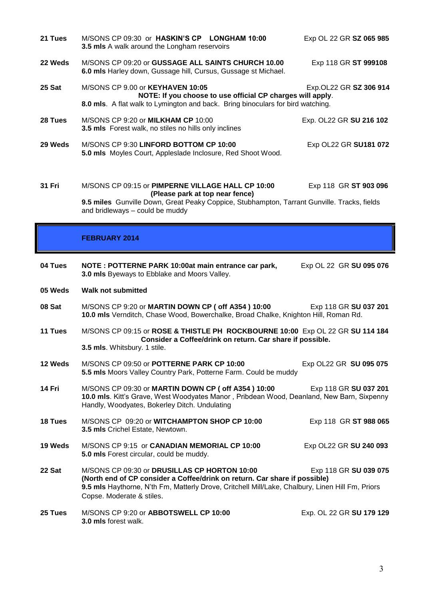- **21 Tues** M/SONS CP 09:30 or **HASKIN'S CP LONGHAM 10:00** Exp OL 22 GR **SZ 065 985 3.5 mls** A walk around the Longham reservoirs **22 Weds** M/SONS CP 09:20 or **GUSSAGE ALL SAINTS CHURCH 10.00** Exp 118 GR **ST 999108 6.0 mls** Harley down, Gussage hill, Cursus, Gussage st Michael. **25 Sat** M/SONS CP 9.00 or **KEYHAVEN 10:05** Exp.OL22 GR **SZ 306 914 NOTE: If you choose to use official CP charges will apply**. **8.0 mls**. A flat walk to Lymington and back. Bring binoculars for bird watching. **28 Tues** M/SONS CP 9:20 or **MILKHAM CP** 10:00 Exp. OL22 GR **SU 216 102 3.5 mls** Forest walk, no stiles no hills only inclines **29 Weds** M/SONS CP 9:30 **LINFORD BOTTOM CP 10:00** Exp OL22 GR **SU181 072 5.0 mls** Moyles Court, Appleslade Inclosure, Red Shoot Wood. **31 Fri** M/SONS CP 09:15 or **PIMPERNE VILLAGE HALL CP 10:00** Exp 118 GR **ST 903 096 (Please park at top near fence) 9.5 miles** Gunville Down, Great Peaky Coppice, Stubhampton, Tarrant Gunville. Tracks, fields and bridleways – could be muddy **FEBRUARY 2014 04 Tues NOTE : POTTERNE PARK 10:00at main entrance car park,** Exp OL 22 GR **SU 095 076 3.0 mls** Byeways to Ebblake and Moors Valley. **05 Weds Walk not submitted**
- **08 Sat** M/SONS CP 9:20 or **MARTIN DOWN CP ( off A354 ) 10:00** Exp 118 GR **SU 037 201 10.0 mls** Vernditch, Chase Wood, Bowerchalke, Broad Chalke, Knighton Hill, Roman Rd.
- **11 Tues** M/SONS CP 09:15 or **ROSE & THISTLE PH ROCKBOURNE 10:00** Exp OL 22 GR **SU 114 184 Consider a Coffee/drink on return. Car share if possible. 3.5 mls**. Whitsbury. 1 stile.
- **12 Weds** M/SONS CP 09:50 or **POTTERNE PARK CP 10:00** Exp OL22 GR **SU 095 075 5.5 mls** Moors Valley Country Park, Potterne Farm. Could be muddy
- **14 Fri** M/SONS CP 09:30 or **MARTIN DOWN CP ( off A354 ) 10:00** Exp 118 GR **SU 037 201 10.0 mls**. Kitt's Grave, West Woodyates Manor , Pribdean Wood, Deanland, New Barn, Sixpenny Handly, Woodyates, Bokerley Ditch. Undulating
- **18 Tues M/SONS CP 09:20 or WITCHAMPTON SHOP CP 10:00 Exp 118 GR ST 988 065 3.5 mls** Crichel Estate, Newtown.
- **19 Weds** M/SONS CP 9:15 or **CANADIAN MEMORIAL CP 10:00** Exp OL22 GR **SU 240 093 5.0 mls** Forest circular, could be muddy.
- **22 Sat** M/SONS CP 09:30 or **DRUSILLAS CP HORTON 10:00** Exp 118 GR **SU 039 075 (North end of CP consider a Coffee/drink on return. Car share if possible) 9.5 mls** Haythorne, N'th Fm, Matterly Drove, Critchell Mill/Lake, Chalbury, Linen Hill Fm, Priors Copse. Moderate & stiles.
- **25 Tues** M/SONS CP 9:20 or **ABBOTSWELL CP 10:00** Exp. OL 22 GR **SU 179 129 3.0 mls** forest walk.